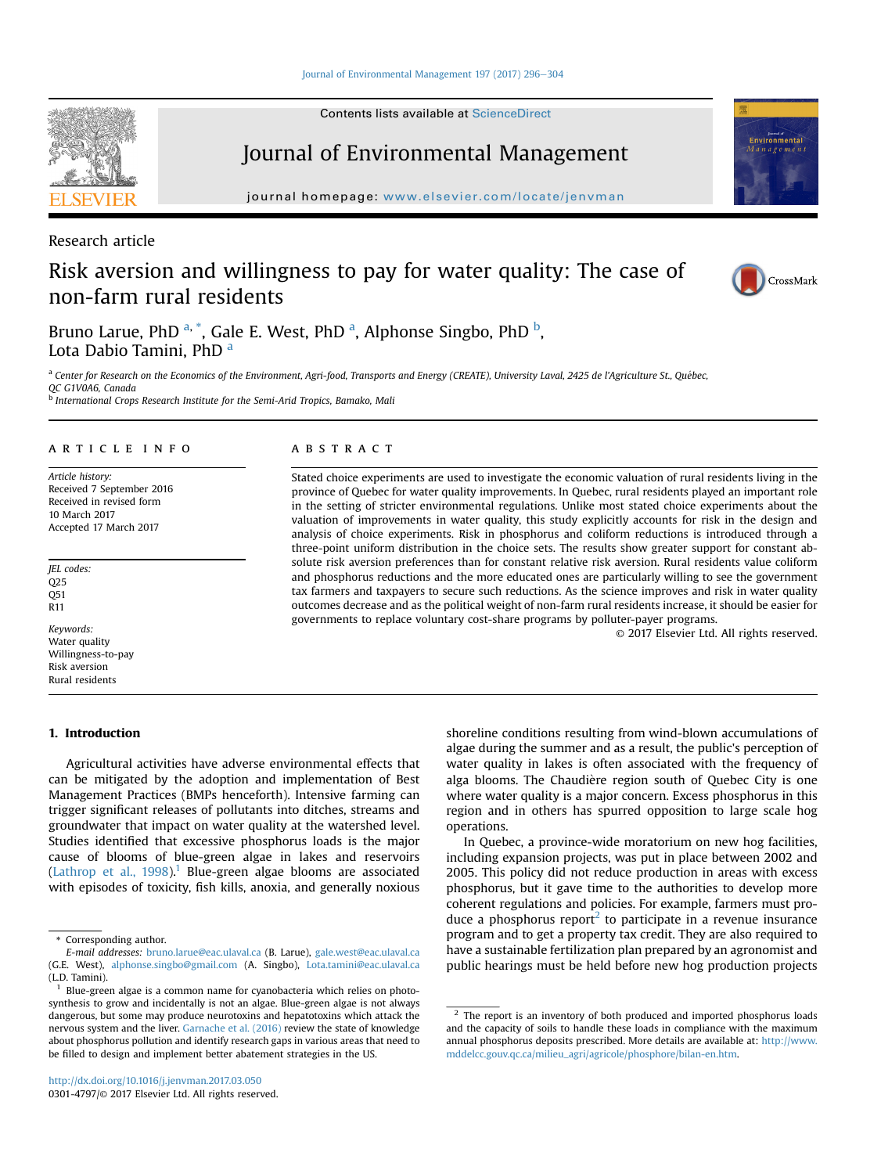#### [Journal of Environmental Management 197 \(2017\) 296](http://dx.doi.org/10.1016/j.jenvman.2017.03.050)-[304](http://dx.doi.org/10.1016/j.jenvman.2017.03.050)

Contents lists available at ScienceDirect

# Journal of Environmental Management

journal homepage: [www.elsevier.com/locate/jenvman](http://www.elsevier.com/locate/jenvman)

Research article

# Risk aversion and willingness to pay for water quality: The case of non-farm rural residents



a Center for Research on the Economics of the Environment, Agri-food, Transports and Energy (CREATE), University Laval, 2425 de l'Agriculture St., Québec, QC G1V0A6, Canada

<sup>b</sup> International Crops Research Institute for the Semi-Arid Tropics, Bamako, Mali

# article info

Article history: Received 7 September 2016 Received in revised form 10 March 2017 Accepted 17 March 2017

JEL codes: Q25 Q51 R11

Keywords: Water quality Willingness-to-pay Risk aversion Rural residents

# 1. Introduction

Agricultural activities have adverse environmental effects that can be mitigated by the adoption and implementation of Best Management Practices (BMPs henceforth). Intensive farming can trigger significant releases of pollutants into ditches, streams and groundwater that impact on water quality at the watershed level. Studies identified that excessive phosphorus loads is the major cause of blooms of blue-green algae in lakes and reservoirs (Lathrop et al.,  $1998$ ).<sup>1</sup> Blue-green algae blooms are associated with episodes of toxicity, fish kills, anoxia, and generally noxious

# **ARSTRACT**

Stated choice experiments are used to investigate the economic valuation of rural residents living in the province of Quebec for water quality improvements. In Quebec, rural residents played an important role in the setting of stricter environmental regulations. Unlike most stated choice experiments about the valuation of improvements in water quality, this study explicitly accounts for risk in the design and analysis of choice experiments. Risk in phosphorus and coliform reductions is introduced through a three-point uniform distribution in the choice sets. The results show greater support for constant absolute risk aversion preferences than for constant relative risk aversion. Rural residents value coliform and phosphorus reductions and the more educated ones are particularly willing to see the government tax farmers and taxpayers to secure such reductions. As the science improves and risk in water quality outcomes decrease and as the political weight of non-farm rural residents increase, it should be easier for governments to replace voluntary cost-share programs by polluter-payer programs.

© 2017 Elsevier Ltd. All rights reserved.

shoreline conditions resulting from wind-blown accumulations of algae during the summer and as a result, the public's perception of water quality in lakes is often associated with the frequency of alga blooms. The Chaudière region south of Quebec City is one where water quality is a major concern. Excess phosphorus in this region and in others has spurred opposition to large scale hog operations.

In Quebec, a province-wide moratorium on new hog facilities, including expansion projects, was put in place between 2002 and 2005. This policy did not reduce production in areas with excess phosphorus, but it gave time to the authorities to develop more coherent regulations and policies. For example, farmers must produce a phosphorus report<sup>2</sup> to participate in a revenue insurance program and to get a property tax credit. They are also required to have a sustainable fertilization plan prepared by an agronomist and public hearings must be held before new hog production projects





CrossMark

<sup>\*</sup> Corresponding author.

E-mail addresses: [bruno.larue@eac.ulaval.ca](mailto:bruno.larue@eac.ulaval.ca) (B. Larue), [gale.west@eac.ulaval.ca](mailto:gale.west@eac.ulaval.ca) (G.E. West), [alphonse.singbo@gmail.com](mailto:alphonse.singbo@gmail.com) (A. Singbo), [Lota.tamini@eac.ulaval.ca](mailto:Lota.tamini@eac.ulaval.ca) (L.D. Tamini).

<sup>&</sup>lt;sup>1</sup> Blue-green algae is a common name for cyanobacteria which relies on photosynthesis to grow and incidentally is not an algae. Blue-green algae is not always dangerous, but some may produce neurotoxins and hepatotoxins which attack the nervous system and the liver. [Garnache et al. \(2016\)](#page-7-0) review the state of knowledge about phosphorus pollution and identify research gaps in various areas that need to be filled to design and implement better abatement strategies in the US.

 $\frac{2}{3}$  The report is an inventory of both produced and imported phosphorus loads and the capacity of soils to handle these loads in compliance with the maximum annual phosphorus deposits prescribed. More details are available at: [http://www.](http://www.mddelcc.gouv.qc.ca/milieu_agri/agricole/phosphore/bilan-en.htm) [mddelcc.gouv.qc.ca/milieu\\_agri/agricole/phosphore/bilan-en.htm](http://www.mddelcc.gouv.qc.ca/milieu_agri/agricole/phosphore/bilan-en.htm).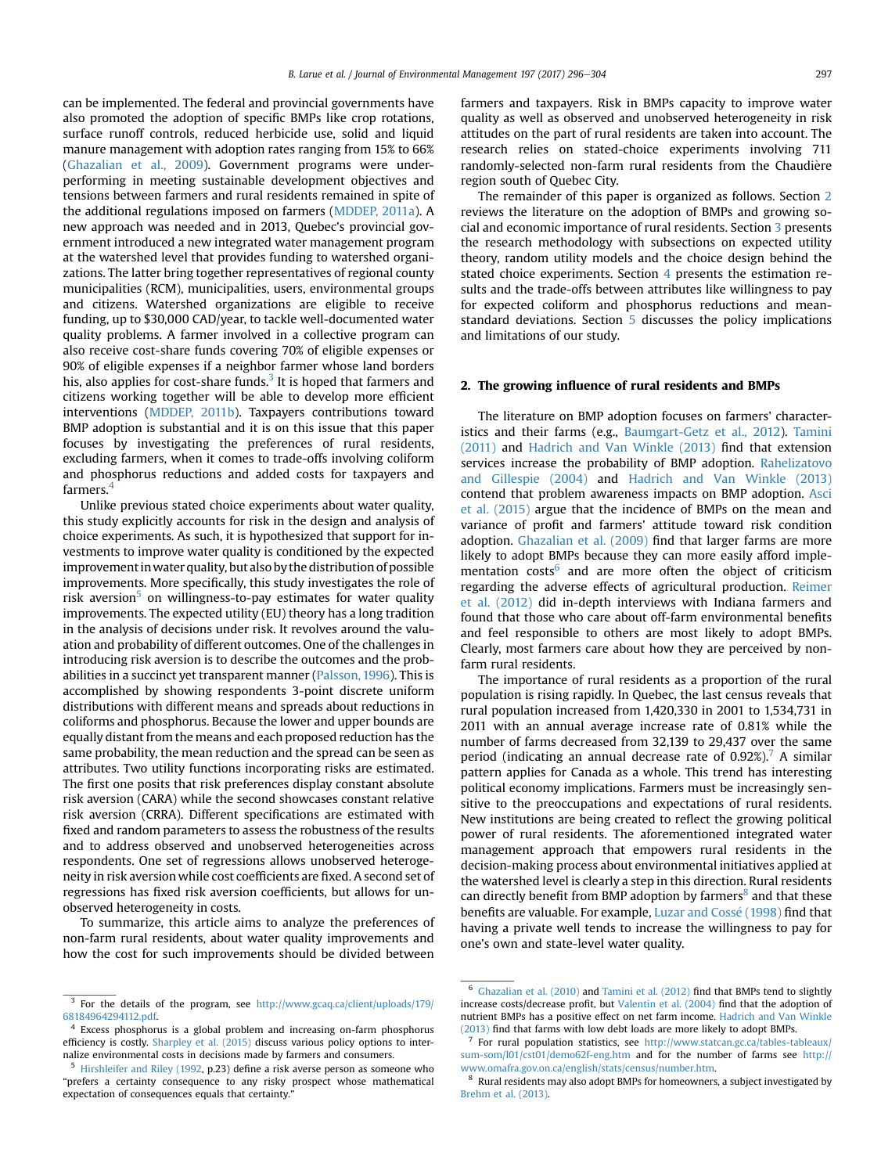can be implemented. The federal and provincial governments have also promoted the adoption of specific BMPs like crop rotations, surface runoff controls, reduced herbicide use, solid and liquid manure management with adoption rates ranging from 15% to 66% ([Ghazalian et al., 2009](#page-7-0)). Government programs were underperforming in meeting sustainable development objectives and tensions between farmers and rural residents remained in spite of the additional regulations imposed on farmers ([MDDEP, 2011a\)](#page-7-0). A new approach was needed and in 2013, Quebec's provincial government introduced a new integrated water management program at the watershed level that provides funding to watershed organizations. The latter bring together representatives of regional county municipalities (RCM), municipalities, users, environmental groups and citizens. Watershed organizations are eligible to receive funding, up to \$30,000 CAD/year, to tackle well-documented water quality problems. A farmer involved in a collective program can also receive cost-share funds covering 70% of eligible expenses or 90% of eligible expenses if a neighbor farmer whose land borders his, also applies for cost-share funds. $3$  It is hoped that farmers and citizens working together will be able to develop more efficient interventions ([MDDEP, 2011b\)](#page-7-0). Taxpayers contributions toward BMP adoption is substantial and it is on this issue that this paper focuses by investigating the preferences of rural residents, excluding farmers, when it comes to trade-offs involving coliform and phosphorus reductions and added costs for taxpayers and farmers.<sup>4</sup>

Unlike previous stated choice experiments about water quality, this study explicitly accounts for risk in the design and analysis of choice experiments. As such, it is hypothesized that support for investments to improve water quality is conditioned by the expected improvementinwater quality, but also by the distribution of possible improvements. More specifically, this study investigates the role of risk aversion<sup>5</sup> on willingness-to-pay estimates for water quality improvements. The expected utility (EU) theory has a long tradition in the analysis of decisions under risk. It revolves around the valuation and probability of different outcomes. One of the challenges in introducing risk aversion is to describe the outcomes and the probabilities in a succinct yet transparent manner [\(Palsson, 1996\)](#page-7-0). This is accomplished by showing respondents 3-point discrete uniform distributions with different means and spreads about reductions in coliforms and phosphorus. Because the lower and upper bounds are equally distant from the means and each proposed reduction has the same probability, the mean reduction and the spread can be seen as attributes. Two utility functions incorporating risks are estimated. The first one posits that risk preferences display constant absolute risk aversion (CARA) while the second showcases constant relative risk aversion (CRRA). Different specifications are estimated with fixed and random parameters to assess the robustness of the results and to address observed and unobserved heterogeneities across respondents. One set of regressions allows unobserved heterogeneity in risk aversion while cost coefficients are fixed. A second set of regressions has fixed risk aversion coefficients, but allows for unobserved heterogeneity in costs.

To summarize, this article aims to analyze the preferences of non-farm rural residents, about water quality improvements and how the cost for such improvements should be divided between

farmers and taxpayers. Risk in BMPs capacity to improve water quality as well as observed and unobserved heterogeneity in risk attitudes on the part of rural residents are taken into account. The research relies on stated-choice experiments involving 711 randomly-selected non-farm rural residents from the Chaudiere region south of Quebec City.

The remainder of this paper is organized as follows. Section 2 reviews the literature on the adoption of BMPs and growing social and economic importance of rural residents. Section [3](#page-2-0) presents the research methodology with subsections on expected utility theory, random utility models and the choice design behind the stated choice experiments. Section [4](#page-3-0) presents the estimation results and the trade-offs between attributes like willingness to pay for expected coliform and phosphorus reductions and meanstandard deviations. Section [5](#page-6-0) discusses the policy implications and limitations of our study.

#### 2. The growing influence of rural residents and BMPs

The literature on BMP adoption focuses on farmers' characteristics and their farms (e.g., [Baumgart-Getz et al., 2012\)](#page-7-0). [Tamini](#page-8-0) [\(2011\)](#page-8-0) and [Hadrich and Van Winkle \(2013\)](#page-7-0) find that extension services increase the probability of BMP adoption. [Rahelizatovo](#page-7-0) [and Gillespie \(2004\)](#page-7-0) and [Hadrich and Van Winkle \(2013\)](#page-7-0) contend that problem awareness impacts on BMP adoption. [Asci](#page-7-0) [et al. \(2015\)](#page-7-0) argue that the incidence of BMPs on the mean and variance of profit and farmers' attitude toward risk condition adoption. [Ghazalian et al. \(2009\)](#page-7-0) find that larger farms are more likely to adopt BMPs because they can more easily afford implementation  $costs<sup>6</sup>$  and are more often the object of criticism regarding the adverse effects of agricultural production. [Reimer](#page-7-0) [et al. \(2012\)](#page-7-0) did in-depth interviews with Indiana farmers and found that those who care about off-farm environmental benefits and feel responsible to others are most likely to adopt BMPs. Clearly, most farmers care about how they are perceived by nonfarm rural residents.

The importance of rural residents as a proportion of the rural population is rising rapidly. In Quebec, the last census reveals that rural population increased from 1,420,330 in 2001 to 1,534,731 in 2011 with an annual average increase rate of 0.81% while the number of farms decreased from 32,139 to 29,437 over the same period (indicating an annual decrease rate of  $0.92\%$ ).<sup>7</sup> A similar pattern applies for Canada as a whole. This trend has interesting political economy implications. Farmers must be increasingly sensitive to the preoccupations and expectations of rural residents. New institutions are being created to reflect the growing political power of rural residents. The aforementioned integrated water management approach that empowers rural residents in the decision-making process about environmental initiatives applied at the watershed level is clearly a step in this direction. Rural residents can directly benefit from BMP adoption by farmers $\delta$  and that these benefits are valuable. For example, Luzar and Cossé (1998) find that having a private well tends to increase the willingness to pay for one's own and state-level water quality.

<sup>&</sup>lt;sup>3</sup> For the details of the program, see [http://www.gcaq.ca/client/uploads/179/](http://www.gcaq.ca/client/uploads/179/68184964294112.pdf) [68184964294112.pdf.](http://www.gcaq.ca/client/uploads/179/68184964294112.pdf)

Excess phosphorus is a global problem and increasing on-farm phosphorus efficiency is costly. [Sharpley et al. \(2015\)](#page-7-0) discuss various policy options to internalize environmental costs in decisions made by farmers and consumers.

<sup>5</sup> [Hirshleifer and Riley \(1992](#page-7-0), p.23) define a risk averse person as someone who "prefers a certainty consequence to any risky prospect whose mathematical expectation of consequences equals that certainty.

<sup>6</sup> [Ghazalian et al. \(2010\)](#page-7-0) and [Tamini et al. \(2012\)](#page-8-0) find that BMPs tend to slightly increase costs/decrease profit, but [Valentin et al. \(2004\)](#page-8-0) find that the adoption of nutrient BMPs has a positive effect on net farm income. [Hadrich and Van Winkle](#page-7-0) [\(2013\)](#page-7-0) find that farms with low debt loads are more likely to adopt BMPs.

<sup>7</sup> For rural population statistics, see [http://www.statcan.gc.ca/tables-tableaux/](http://www.statcan.gc.ca/tables-tableaux/sum-som/l01/cst01/demo62f-eng.htm) [sum-som/l01/cst01/demo62f-eng.htm](http://www.statcan.gc.ca/tables-tableaux/sum-som/l01/cst01/demo62f-eng.htm) and for the number of farms see [http://](http://www.omafra.gov.on.ca/english/stats/census/number.htm) [www.omafra.gov.on.ca/english/stats/census/number.htm](http://www.omafra.gov.on.ca/english/stats/census/number.htm).

<sup>8</sup> Rural residents may also adopt BMPs for homeowners, a subject investigated by [Brehm et al. \(2013\)](#page-7-0).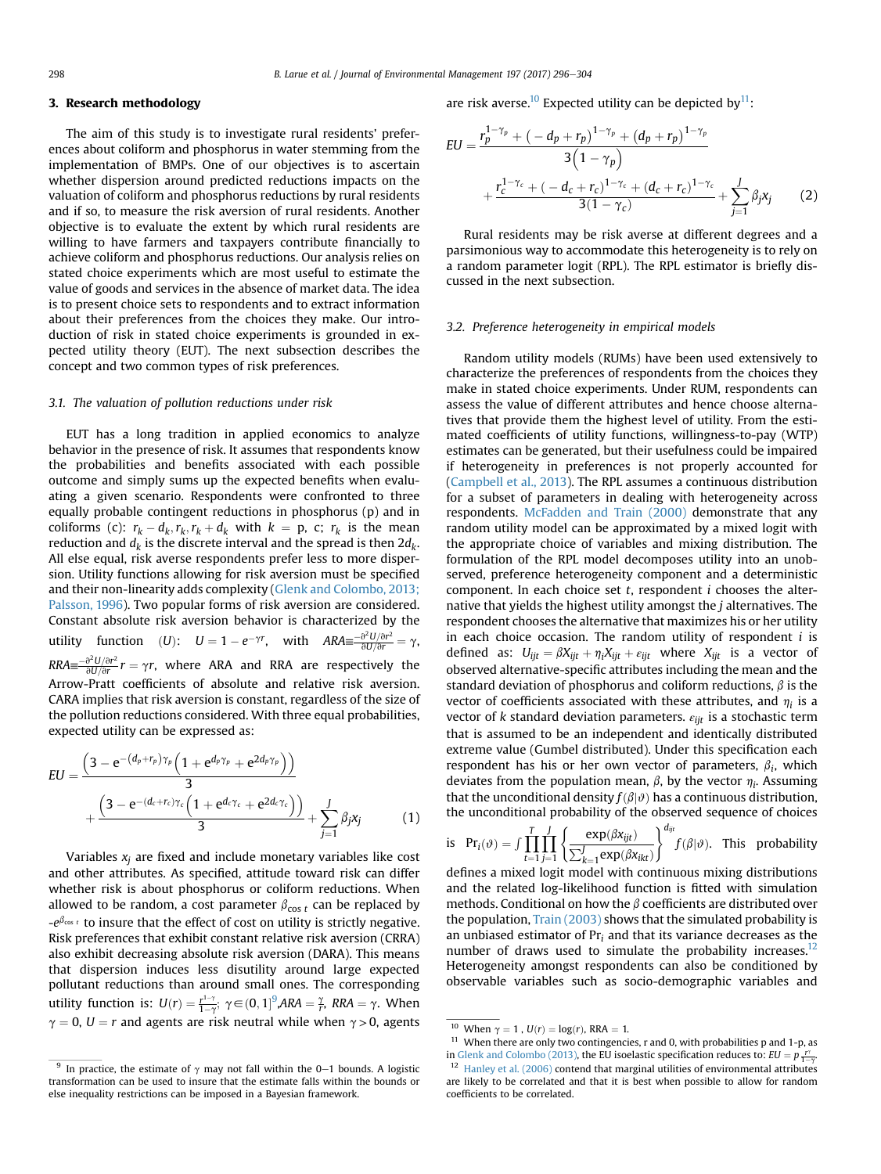# <span id="page-2-0"></span>3. Research methodology

The aim of this study is to investigate rural residents' preferences about coliform and phosphorus in water stemming from the implementation of BMPs. One of our objectives is to ascertain whether dispersion around predicted reductions impacts on the valuation of coliform and phosphorus reductions by rural residents and if so, to measure the risk aversion of rural residents. Another objective is to evaluate the extent by which rural residents are willing to have farmers and taxpayers contribute financially to achieve coliform and phosphorus reductions. Our analysis relies on stated choice experiments which are most useful to estimate the value of goods and services in the absence of market data. The idea is to present choice sets to respondents and to extract information about their preferences from the choices they make. Our introduction of risk in stated choice experiments is grounded in expected utility theory (EUT). The next subsection describes the concept and two common types of risk preferences.

### 3.1. The valuation of pollution reductions under risk

EUT has a long tradition in applied economics to analyze behavior in the presence of risk. It assumes that respondents know the probabilities and benefits associated with each possible outcome and simply sums up the expected benefits when evaluating a given scenario. Respondents were confronted to three equally probable contingent reductions in phosphorus (p) and in coliforms (c):  $r_k - d_k$ ,  $r_k$ ,  $r_k + d_k$  with  $k = p$ , c;  $r_k$  is the mean reduction and  $d_k$  is the discrete interval and the spread is then  $2d_k$ . All else equal, risk averse respondents prefer less to more dispersion. Utility functions allowing for risk aversion must be specified and their non-linearity adds complexity ([Glenk and Colombo, 2013;](#page-7-0) [Palsson, 1996](#page-7-0)). Two popular forms of risk aversion are considered. Constant absolute risk aversion behavior is characterized by the utility function (U):  $U = 1 - e^{-\gamma r}$ , with  $ARA = \frac{\partial^2 U / \partial r^2}{\partial U / \partial r} = \gamma$ ,  $RRA \equiv \frac{\partial^2 U/\partial r^2}{\partial U/\partial r} r = \gamma r$ , where ARA and RRA are respectively the Arrow-Pratt coefficients of absolute and relative risk aversion. CARA implies that risk aversion is constant, regardless of the size of the pollution reductions considered. With three equal probabilities, expected utility can be expressed as:

$$
EU = \frac{\left(3 - e^{-(d_p + r_p)\gamma_p}\left(1 + e^{d_p \gamma_p} + e^{2d_p \gamma_p}\right)\right)}{3} + \frac{\left(3 - e^{-(d_c + r_c)\gamma_c}\left(1 + e^{d_c \gamma_c} + e^{2d_c \gamma_c}\right)\right)}{3} + \sum_{j=1}^J \beta_j x_j \tag{1}
$$

Variables  $x_i$  are fixed and include monetary variables like cost and other attributes. As specified, attitude toward risk can differ whether risk is about phosphorus or coliform reductions. When allowed to be random, a cost parameter  $\beta_{\cos t}$  can be replaced by  $-e^{\beta_{\cos t}}$  to insure that the effect of cost on utility is strictly negative. Risk preferences that exhibit constant relative risk aversion (CRRA) also exhibit decreasing absolute risk aversion (DARA). This means that dispersion induces less disutility around large expected pollutant reductions than around small ones. The corresponding utility function is:  $U(r) = \frac{r^{1-\gamma}}{1-\gamma}$ ;  $\gamma \in (0, 1]^9$ ,  $ARA = \frac{\gamma}{r}$ ,  $RRA = \gamma$ . When  $\gamma = 0$ ,  $U = r$  and agents are risk neutral while when  $\gamma > 0$ , agents

are risk averse.<sup>10</sup> Expected utility can be depicted by<sup>11</sup>:

$$
EU = \frac{r_p^{1-\gamma_p} + (-d_p + r_p)^{1-\gamma_p} + (d_p + r_p)^{1-\gamma_p}}{3(1-\gamma_p)} + \frac{r_c^{1-\gamma_c} + (-d_c + r_c)^{1-\gamma_c} + (d_c + r_c)^{1-\gamma_c}}{3(1-\gamma_c)} + \sum_{j=1}^J \beta_j x_j
$$
 (2)

Rural residents may be risk averse at different degrees and a parsimonious way to accommodate this heterogeneity is to rely on a random parameter logit (RPL). The RPL estimator is briefly discussed in the next subsection.

#### 3.2. Preference heterogeneity in empirical models

Random utility models (RUMs) have been used extensively to characterize the preferences of respondents from the choices they make in stated choice experiments. Under RUM, respondents can assess the value of different attributes and hence choose alternatives that provide them the highest level of utility. From the estimated coefficients of utility functions, willingness-to-pay (WTP) estimates can be generated, but their usefulness could be impaired if heterogeneity in preferences is not properly accounted for ([Campbell et al., 2013](#page-7-0)). The RPL assumes a continuous distribution for a subset of parameters in dealing with heterogeneity across respondents. [McFadden and Train \(2000\)](#page-7-0) demonstrate that any random utility model can be approximated by a mixed logit with the appropriate choice of variables and mixing distribution. The formulation of the RPL model decomposes utility into an unobserved, preference heterogeneity component and a deterministic component. In each choice set  $t$ , respondent  $i$  chooses the alternative that yields the highest utility amongst the j alternatives. The respondent chooses the alternative that maximizes his or her utility in each choice occasion. The random utility of respondent  $i$  is defined as:  $U_{ijt} = \beta X_{ijt} + \eta_i X_{ijt} + \varepsilon_{ijt}$  where  $X_{ijt}$  is a vector of observed alternative-specific attributes including the mean and the standard deviation of phosphorus and coliform reductions,  $\beta$  is the vector of coefficients associated with these attributes, and  $\eta_i$  is a vector of k standard deviation parameters.  $\varepsilon_{\text{ijt}}$  is a stochastic term that is assumed to be an independent and identically distributed extreme value (Gumbel distributed). Under this specification each respondent has his or her own vector of parameters,  $\beta_i$ , which deviates from the population mean,  $\beta$ , by the vector  $\eta_i$ . Assuming<br>that the unconditional density  $f(\beta|\cdot\theta)$  has a continuous distribution that the unconditional density  $f(\beta|\vartheta)$  has a continuous distribution, the unconditional probability of the observed sequence of choices

is 
$$
Pr_i(\vartheta) = \int \prod_{t=1}^T \prod_{j=1}^J \left\{ \frac{\exp(\beta x_{ijt})}{\sum_{k=1}^J \exp(\beta x_{ikt})} \right\}^{d_{ijt}}
$$
  $f(\beta|\vartheta)$ . This probability  
defines a mixed logit model with continuous mixing distributions

and the related log-likelihood function is fitted with simulation methods. Conditional on how the  $\beta$  coefficients are distributed over the population, [Train \(2003\)](#page-8-0) shows that the simulated probability is an unbiased estimator of  $Pr_i$  and that its variance decreases as the number of draws used to simulate the probability increases.<sup>12</sup> Heterogeneity amongst respondents can also be conditioned by observable variables such as socio-demographic variables and

<sup>10</sup> When  $\gamma = 1$ ,  $U(r) = \log(r)$ , RRA = 1.<br><sup>11</sup> When there are only two contingencies, r and 0, with probabilities p and 1-p, as in [Glenk and Colombo \(2013\)](#page-7-0), the EU isoelastic specification reduces to:  $EU = p_{\overline{1}}$ 

<sup>&</sup>lt;sup>9</sup> In practice, the estimate of  $\gamma$  may not fall within the 0–1 bounds. A logistic transformation can be used to insure that the estimate falls within the bounds or else inequality restrictions can be imposed in a Bayesian framework.

 $12$  [Hanley et al. \(2006\)](#page-7-0) contend that marginal utilities of environmental attributes are likely to be correlated and that it is best when possible to allow for random coefficients to be correlated.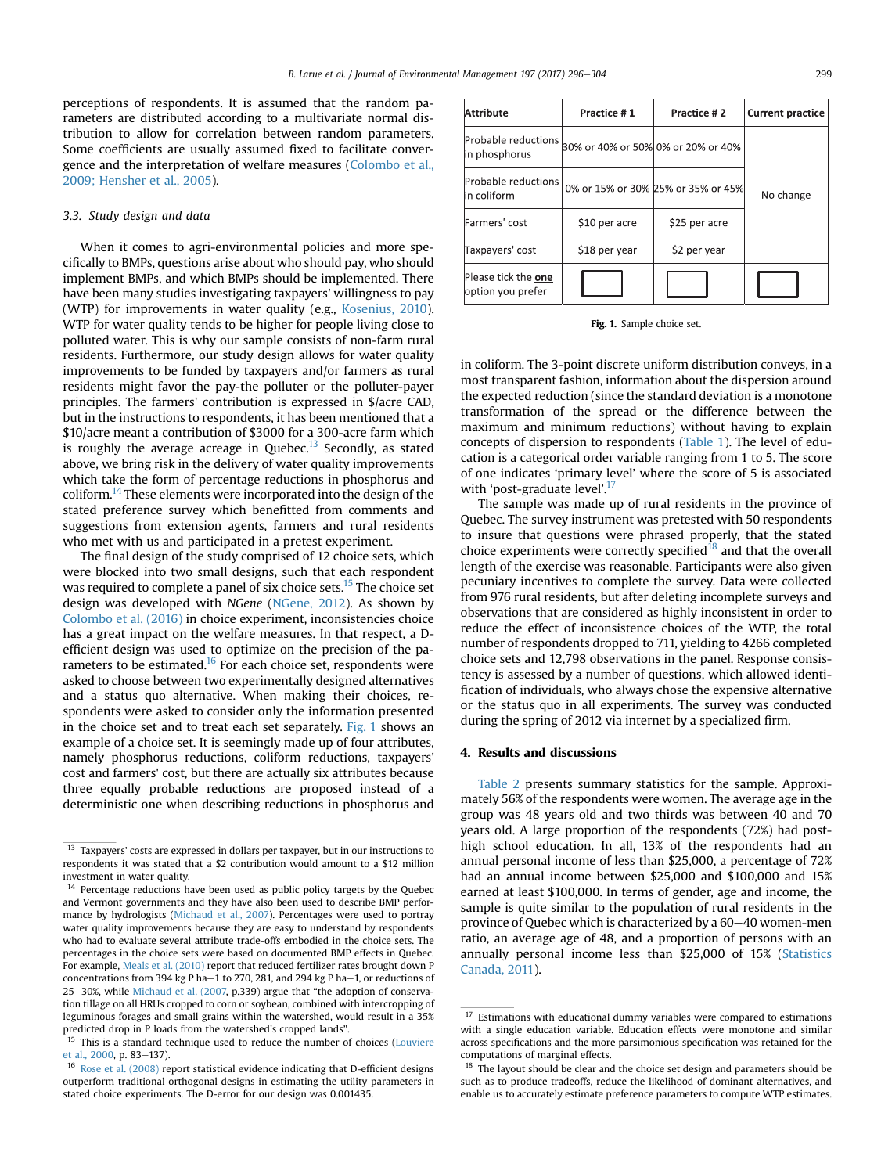<span id="page-3-0"></span>perceptions of respondents. It is assumed that the random parameters are distributed according to a multivariate normal distribution to allow for correlation between random parameters. Some coefficients are usually assumed fixed to facilitate convergence and the interpretation of welfare measures ([Colombo et al.,](#page-7-0) [2009; Hensher et al., 2005](#page-7-0)).

# 3.3. Study design and data

When it comes to agri-environmental policies and more specifically to BMPs, questions arise about who should pay, who should implement BMPs, and which BMPs should be implemented. There have been many studies investigating taxpayers' willingness to pay (WTP) for improvements in water quality (e.g., [Kosenius, 2010\)](#page-7-0). WTP for water quality tends to be higher for people living close to polluted water. This is why our sample consists of non-farm rural residents. Furthermore, our study design allows for water quality improvements to be funded by taxpayers and/or farmers as rural residents might favor the pay-the polluter or the polluter-payer principles. The farmers' contribution is expressed in \$/acre CAD, but in the instructions to respondents, it has been mentioned that a \$10/acre meant a contribution of \$3000 for a 300-acre farm which is roughly the average acreage in Quebec.<sup>13</sup> Secondly, as stated above, we bring risk in the delivery of water quality improvements which take the form of percentage reductions in phosphorus and coliform.<sup>14</sup> These elements were incorporated into the design of the stated preference survey which benefitted from comments and suggestions from extension agents, farmers and rural residents who met with us and participated in a pretest experiment.

The final design of the study comprised of 12 choice sets, which were blocked into two small designs, such that each respondent was required to complete a panel of six choice sets.<sup>15</sup> The choice set design was developed with NGene [\(NGene, 2012\)](#page-7-0). As shown by [Colombo et al. \(2016\)](#page-7-0) in choice experiment, inconsistencies choice has a great impact on the welfare measures. In that respect, a Defficient design was used to optimize on the precision of the parameters to be estimated.<sup>16</sup> For each choice set, respondents were asked to choose between two experimentally designed alternatives and a status quo alternative. When making their choices, respondents were asked to consider only the information presented in the choice set and to treat each set separately. Fig. 1 shows an example of a choice set. It is seemingly made up of four attributes, namely phosphorus reductions, coliform reductions, taxpayers' cost and farmers' cost, but there are actually six attributes because three equally probable reductions are proposed instead of a deterministic one when describing reductions in phosphorus and

| <b>Attribute</b>                         | Practice #1                        | Practice #2                        | <b>Current practice</b> |
|------------------------------------------|------------------------------------|------------------------------------|-------------------------|
| Probable reductions<br>in phosphorus     | 30% or 40% or 50% 0% or 20% or 40% |                                    |                         |
| Probable reductions<br>lin coliform      |                                    | 0% or 15% or 30% 25% or 35% or 45% | No change               |
| Farmers' cost                            | \$10 per acre                      | \$25 per acre                      |                         |
| Taxpayers' cost                          | \$18 per year                      | \$2 per year                       |                         |
| Please tick the one<br>option you prefer |                                    |                                    |                         |

Fig. 1. Sample choice set.

in coliform. The 3-point discrete uniform distribution conveys, in a most transparent fashion, information about the dispersion around the expected reduction (since the standard deviation is a monotone transformation of the spread or the difference between the maximum and minimum reductions) without having to explain concepts of dispersion to respondents ([Table 1\)](#page-4-0). The level of education is a categorical order variable ranging from 1 to 5. The score of one indicates 'primary level' where the score of 5 is associated with 'post-graduate level'.<sup>17</sup>

The sample was made up of rural residents in the province of Quebec. The survey instrument was pretested with 50 respondents to insure that questions were phrased properly, that the stated choice experiments were correctly specified $18$  and that the overall length of the exercise was reasonable. Participants were also given pecuniary incentives to complete the survey. Data were collected from 976 rural residents, but after deleting incomplete surveys and observations that are considered as highly inconsistent in order to reduce the effect of inconsistence choices of the WTP, the total number of respondents dropped to 711, yielding to 4266 completed choice sets and 12,798 observations in the panel. Response consistency is assessed by a number of questions, which allowed identification of individuals, who always chose the expensive alternative or the status quo in all experiments. The survey was conducted during the spring of 2012 via internet by a specialized firm.

## 4. Results and discussions

[Table 2](#page-4-0) presents summary statistics for the sample. Approximately 56% of the respondents were women. The average age in the group was 48 years old and two thirds was between 40 and 70 years old. A large proportion of the respondents (72%) had posthigh school education. In all, 13% of the respondents had an annual personal income of less than \$25,000, a percentage of 72% had an annual income between \$25,000 and \$100,000 and 15% earned at least \$100,000. In terms of gender, age and income, the sample is quite similar to the population of rural residents in the province of Quebec which is characterized by a 60–40 women-men ratio, an average age of 48, and a proportion of persons with an annually personal income less than \$25,000 of 15% [\(Statistics](#page-8-0) [Canada, 2011](#page-8-0)).

 $\overline{13}$  Taxpayers' costs are expressed in dollars per taxpayer, but in our instructions to respondents it was stated that a \$2 contribution would amount to a \$12 million investment in water quality.

<sup>&</sup>lt;sup>14</sup> Percentage reductions have been used as public policy targets by the Quebec and Vermont governments and they have also been used to describe BMP performance by hydrologists ([Michaud et al., 2007\)](#page-7-0). Percentages were used to portray water quality improvements because they are easy to understand by respondents who had to evaluate several attribute trade-offs embodied in the choice sets. The percentages in the choice sets were based on documented BMP effects in Quebec. For example, [Meals et al. \(2010\)](#page-7-0) report that reduced fertilizer rates brought down P concentrations from 394 kg P ha-1 to 270, 281, and 294 kg P ha-1, or reductions of 25-30%, while [Michaud et al. \(2007,](#page-7-0) p.339) argue that "the adoption of conservation tillage on all HRUs cropped to corn or soybean, combined with intercropping of leguminous forages and small grains within the watershed, would result in a 35% predicted drop in P loads from the watershed's cropped lands".

<sup>&</sup>lt;sup>15</sup> This is a standard technique used to reduce the number of choices ([Louviere](#page-7-0) [et al., 2000,](#page-7-0) p. 83-137).

<sup>16</sup> [Rose et al. \(2008\)](#page-7-0) report statistical evidence indicating that D-efficient designs outperform traditional orthogonal designs in estimating the utility parameters in stated choice experiments. The D-error for our design was 0.001435.

 $^{17}$  Estimations with educational dummy variables were compared to estimations with a single education variable. Education effects were monotone and similar across specifications and the more parsimonious specification was retained for the computations of marginal effects.

 $18$  The layout should be clear and the choice set design and parameters should be such as to produce tradeoffs, reduce the likelihood of dominant alternatives, and enable us to accurately estimate preference parameters to compute WTP estimates.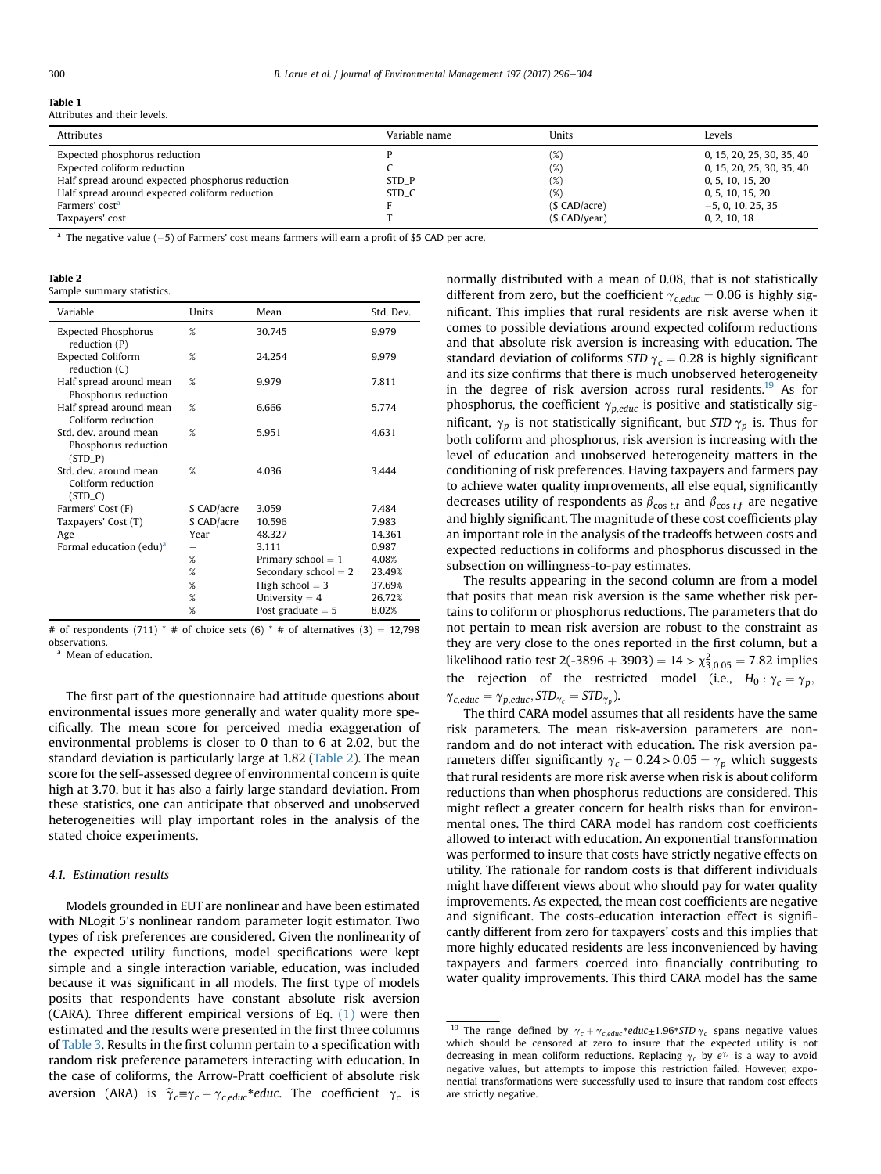<span id="page-4-0"></span>

Attributes and their levels.

| Attributes                                       | Variable name | Units          | Levels                    |
|--------------------------------------------------|---------------|----------------|---------------------------|
| Expected phosphorus reduction                    |               | $(\%)$         | 0, 15, 20, 25, 30, 35, 40 |
| Expected coliform reduction                      |               | (%)            | 0, 15, 20, 25, 30, 35, 40 |
| Half spread around expected phosphorus reduction | STD P         | (%)            | 0, 5, 10, 15, 20          |
| Half spread around expected coliform reduction   | STD_C         | (%)            | 0, 5, 10, 15, 20          |
| Farmers' cost <sup>a</sup>                       |               | $(S$ CAD/acre) | $-5, 0, 10, 25, 35$       |
| Taxpayers' cost                                  |               | $(S$ CAD/year) | 0, 2, 10, 18              |

<sup>a</sup> The negative value  $(-5)$  of Farmers' cost means farmers will earn a profit of \$5 CAD per acre.

| anı<br>ш |  |
|----------|--|
|----------|--|

| Variable                                                   | Units       | Mean                   | Std. Dev. |
|------------------------------------------------------------|-------------|------------------------|-----------|
| <b>Expected Phosphorus</b><br>reduction (P)                | %           | 30.745                 | 9.979     |
| <b>Expected Coliform</b><br>reduction $(C)$                | %           | 24.254                 | 9.979     |
| Half spread around mean<br>Phosphorus reduction            | $\%$        | 9.979                  | 7.811     |
| Half spread around mean<br>Coliform reduction              | %           | 6.666                  | 5.774     |
| Std. dev. around mean<br>Phosphorus reduction<br>$(STD_P)$ | %           | 5.951                  | 4.631     |
| Std. dev. around mean<br>Coliform reduction<br>$(STD_C)$   | %           | 4.036                  | 3.444     |
| Farmers' Cost (F)                                          | \$ CAD/acre | 3.059                  | 7.484     |
| Taxpayers' Cost (T)                                        | \$ CAD/acre | 10.596                 | 7.983     |
| Age                                                        | Year        | 48.327                 | 14.361    |
| Formal education (edu) <sup>a</sup>                        |             | 3.111                  | 0.987     |
|                                                            | %           | Primary school $= 1$   | 4.08%     |
|                                                            | $\%$        | Secondary school $= 2$ | 23.49%    |
|                                                            | %           | High school $=$ 3      | 37.69%    |
|                                                            | %           | University $=$ 4       | 26.72%    |
|                                                            | $\%$        | Post graduate $= 5$    | 8.02%     |

# of respondents (711)  $*$  # of choice sets (6)  $*$  # of alternatives (3) = 12,798 observations.

<sup>a</sup> Mean of education.

The first part of the questionnaire had attitude questions about environmental issues more generally and water quality more specifically. The mean score for perceived media exaggeration of environmental problems is closer to 0 than to 6 at 2.02, but the standard deviation is particularly large at 1.82 (Table 2). The mean score for the self-assessed degree of environmental concern is quite high at 3.70, but it has also a fairly large standard deviation. From these statistics, one can anticipate that observed and unobserved heterogeneities will play important roles in the analysis of the stated choice experiments.

# 4.1. Estimation results

Models grounded in EUT are nonlinear and have been estimated with NLogit 5's nonlinear random parameter logit estimator. Two types of risk preferences are considered. Given the nonlinearity of the expected utility functions, model specifications were kept simple and a single interaction variable, education, was included because it was significant in all models. The first type of models posits that respondents have constant absolute risk aversion (CARA). Three different empirical versions of Eq. [\(1\)](#page-2-0) were then estimated and the results were presented in the first three columns of [Table 3.](#page-5-0) Results in the first column pertain to a specification with random risk preference parameters interacting with education. In the case of coliforms, the Arrow-Pratt coefficient of absolute risk aversion (ARA) is  $\hat{\gamma}_c \equiv \gamma_c + \gamma_{c,educ} * educ$ . The coefficient  $\gamma_c$  is

normally distributed with a mean of 0.08, that is not statistically different from zero, but the coefficient  $\gamma_{c,educ} = 0.06$  is highly significant. This implies that rural residents are risk averse when it comes to possible deviations around expected coliform reductions and that absolute risk aversion is increasing with education. The standard deviation of coliforms STD  $\gamma_c = 0.28$  is highly significant and its size confirms that there is much unobserved heterogeneity in the degree of risk aversion across rural residents.<sup>19</sup> As for phosphorus, the coefficient  $\gamma_{p,educ}$  is positive and statistically significant,  $\gamma_p$  is not statistically significant, but STD  $\gamma_p$  is. Thus for both coliform and phosphorus, risk aversion is increasing with the level of education and unobserved heterogeneity matters in the conditioning of risk preferences. Having taxpayers and farmers pay to achieve water quality improvements, all else equal, significantly decreases utility of respondents as  $\beta_{\cos t,t}$  and  $\beta_{\cos t,f}$  are negative and highly significant. The magnitude of these cost coefficients play an important role in the analysis of the tradeoffs between costs and expected reductions in coliforms and phosphorus discussed in the subsection on willingness-to-pay estimates.

The results appearing in the second column are from a model that posits that mean risk aversion is the same whether risk pertains to coliform or phosphorus reductions. The parameters that do not pertain to mean risk aversion are robust to the constraint as they are very close to the ones reported in the first column, but a likelihood ratio test 2(-3896 + 3903) =  $14 > \chi^{2}_{3,0.05} = 7.82$  implies the rejection of the restricted model (i.e.,  $H_0: \gamma_c = \gamma_p$ ,  $\gamma_{c,educ} = \gamma_{p,educ}, STD_{\gamma_c} = STD_{\gamma_p}$ .

The third CARA model assumes that all residents have the same risk parameters. The mean risk-aversion parameters are nonrandom and do not interact with education. The risk aversion parameters differ significantly  $\gamma_c = 0.24 \times 0.05 = \gamma_p$  which suggests that rural residents are more risk averse when risk is about coliform reductions than when phosphorus reductions are considered. This might reflect a greater concern for health risks than for environmental ones. The third CARA model has random cost coefficients allowed to interact with education. An exponential transformation was performed to insure that costs have strictly negative effects on utility. The rationale for random costs is that different individuals might have different views about who should pay for water quality improvements. As expected, the mean cost coefficients are negative and significant. The costs-education interaction effect is significantly different from zero for taxpayers' costs and this implies that more highly educated residents are less inconvenienced by having taxpayers and farmers coerced into financially contributing to water quality improvements. This third CARA model has the same

<sup>&</sup>lt;sup>19</sup> The range defined by  $\gamma_c + \gamma_{c,educ} * educ \pm 1.96 * STD \gamma_c$  spans negative values which should be censored at zero to insure that the expected utility is not decreasing in mean coliform reductions. Replacing  $\gamma_c$  by  $e^{\gamma_c}$  is a way to avoid negative values, but attempts to impose this restriction failed. However, exponential transformations were successfully used to insure that random cost effects are strictly negative.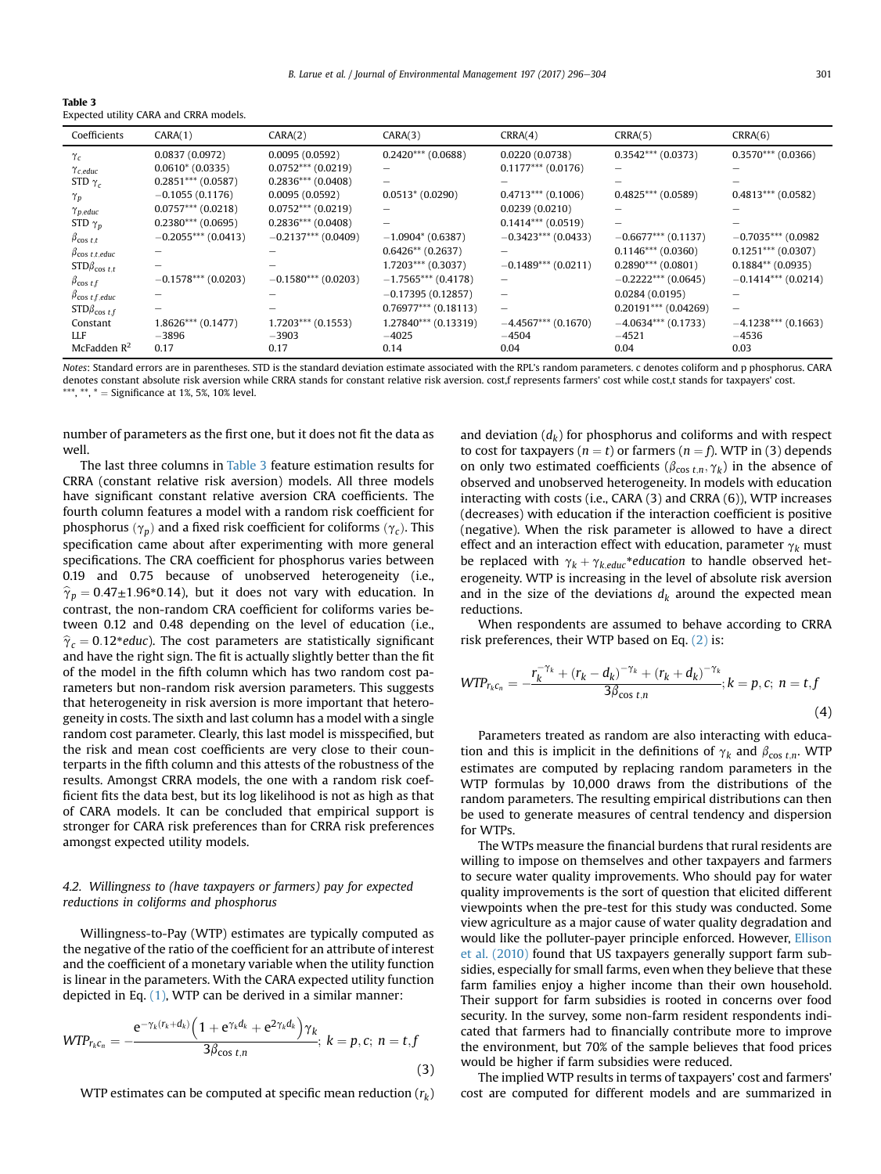B. Larue et al. / Journal of Environmental Management 197 (2017) 296–304 301

| таріє э                                |  |  |  |
|----------------------------------------|--|--|--|
| Expected utility CARA and CRRA models. |  |  |  |

<span id="page-5-0"></span> $T = T$ 

| Coefficients            | CARA(1)               | CARA(2)               | CARA(3)                         | CRRA(4)                  | CRRA(5)                | CRRA(6)                  |
|-------------------------|-----------------------|-----------------------|---------------------------------|--------------------------|------------------------|--------------------------|
| $\gamma_c$              | 0.0837(0.0972)        | 0.0095(0.0592)        | $0.2420***$ (0.0688)            | 0.0220(0.0738)           | $0.3542***$ (0.0373)   | $0.3570***$ (0.0366)     |
| $\gamma_{c,educ}$       | $0.0610*(0.0335)$     | $0.0752***$ (0.0219)  | $\overline{\phantom{0}}$        | $0.1177***$ (0.0176)     |                        |                          |
| STD $\gamma_c$          | $0.2851***$ (0.0587)  | $0.2836***$ (0.0408)  | $\overline{\phantom{0}}$        |                          |                        |                          |
| ${\gamma}_p$            | $-0.1055(0.1176)$     | 0.0095(0.0592)        | $0.0513*(0.0290)$               | $0.4713***$ (0.1006)     | $0.4825***(0.0589)$    | $0.4813***$ (0.0582)     |
| $\gamma_{p,educ}$       | $0.0757***$ (0.0218)  | $0.0752***$ (0.0219)  | $\overline{\phantom{0}}$        | 0.0239(0.0210)           |                        |                          |
| STD $\gamma_p$          | $0.2380***$ (0.0695)  | $0.2836***$ (0.0408)  |                                 | $0.1414***$ (0.0519)     |                        |                          |
| $\beta_{\cos t,t}$      | $-0.2055***$ (0.0413) | $-0.2137***$ (0.0409) | $-1.0904$ <sup>*</sup> (0.6387) | $-0.3423***$ (0.0433)    | $-0.6677***$ (0.1137)  | $-0.7035***$ (0.0982)    |
| $\beta_{\cos t,t,educ}$ |                       |                       | $0.6426**$ (0.2637)             |                          | $0.1146***$ (0.0360)   | $0.1251***$ (0.0307)     |
| $STD\beta_{\cos t,t}$   |                       |                       | $1.7203***$ (0.3037)            | $-0.1489***$ (0.0211)    | $0.2890***$ (0.0801)   | $0.1884**$ (0.0935)      |
| $\beta_{\cos t.f}$      | $-0.1578***$ (0.0203) | $-0.1580***$ (0.0203) | $-1.7565***$ (0.4178)           | $\overline{\phantom{0}}$ | $-0.2222***$ (0.0645)  | $-0.1414***$ (0.0214)    |
| $\beta$ cos t.f.educ    |                       |                       | $-0.17395(0.12857)$             | $\overline{\phantom{m}}$ | 0.0284(0.0195)         |                          |
| $STD\beta_{\cos t.f}$   |                       |                       | $0.76977***$ (0.18113)          | -                        | $0.20191***$ (0.04269) | $\overline{\phantom{0}}$ |
| Constant                | $1.8626***(0.1477)$   | $1,7203***$ (0.1553)  | $1,27840***$ (0.13319)          | $-4.4567***$ (0.1670)    | $-4.0634***$ (0.1733)  | $-4.1238***$ (0.1663)    |
| LLF                     | $-3896$               | $-3903$               | $-4025$                         | $-4504$                  | $-4521$                | $-4536$                  |
| McFadden $R^2$          | 0.17                  | 0.17                  | 0.14                            | 0.04                     | 0.04                   | 0.03                     |

Notes: Standard errors are in parentheses. STD is the standard deviation estimate associated with the RPL's random parameters. c denotes coliform and p phosphorus. CARA denotes constant absolute risk aversion while CRRA stands for constant relative risk aversion, cost,f represents farmers' cost while cost,t stands for taxpayers' cost. \*\*\*, \*\*, \* = Significance at 1%, 5%, 10% level.

number of parameters as the first one, but it does not fit the data as well.

The last three columns in Table 3 feature estimation results for CRRA (constant relative risk aversion) models. All three models have significant constant relative aversion CRA coefficients. The fourth column features a model with a random risk coefficient for phosphorus  $(\gamma_p)$  and a fixed risk coefficient for coliforms  $(\gamma_c)$ . This specification came about after experimenting with more general specifications. The CRA coefficient for phosphorus varies between 0.19 and 0.75 because of unobserved heterogeneity (i.e.,  $\hat{\gamma}_p = 0.47 \pm 1.96*0.14$ , but it does not vary with education. In contrast, the non-random CRA coefficient for coliforms varies between 0.12 and 0.48 depending on the level of education (i.e.,  $\hat{\gamma}_c = 0.12*$ educ). The cost parameters are statistically significant and have the right sign. The fit is actually slightly better than the fit of the model in the fifth column which has two random cost parameters but non-random risk aversion parameters. This suggests that heterogeneity in risk aversion is more important that heterogeneity in costs. The sixth and last column has a model with a single random cost parameter. Clearly, this last model is misspecified, but the risk and mean cost coefficients are very close to their counterparts in the fifth column and this attests of the robustness of the results. Amongst CRRA models, the one with a random risk coefficient fits the data best, but its log likelihood is not as high as that of CARA models. It can be concluded that empirical support is stronger for CARA risk preferences than for CRRA risk preferences amongst expected utility models.

# 4.2. Willingness to (have taxpayers or farmers) pay for expected reductions in coliforms and phosphorus

Willingness-to-Pay (WTP) estimates are typically computed as the negative of the ratio of the coefficient for an attribute of interest and the coefficient of a monetary variable when the utility function is linear in the parameters. With the CARA expected utility function depicted in Eq.  $(1)$ , WTP can be derived in a similar manner:

$$
WTP_{r_kc_n} = -\frac{e^{-\gamma_k(r_k+d_k)}\left(1 + e^{\gamma_k d_k} + e^{2\gamma_k d_k}\right)\gamma_k}{3\beta_{\cos t,n}}; k = p, c; n = t, f
$$
\n(3)

WTP estimates can be computed at specific mean reduction  $(r_k)$ 

and deviation  $(d_k)$  for phosphorus and coliforms and with respect to cost for taxpayers ( $n = t$ ) or farmers ( $n = f$ ). WTP in (3) depends on only two estimated coefficients ( $\beta_{\cos t,n}$ ,  $\gamma_k$ ) in the absence of observed and unobserved heterogeneity. In models with education interacting with costs (i.e., CARA (3) and CRRA (6)), WTP increases (decreases) with education if the interaction coefficient is positive (negative). When the risk parameter is allowed to have a direct effect and an interaction effect with education, parameter  $\gamma_k$  must be replaced with  $\gamma_k + \gamma_{k,educ} *eduction$  to handle observed heterogeneity. WTP is increasing in the level of absolute risk aversion and in the size of the deviations  $d_k$  around the expected mean reductions.

When respondents are assumed to behave according to CRRA risk preferences, their WTP based on Eq. [\(2\)](#page-2-0) is:

$$
WTP_{r_kc_n} = -\frac{r_k^{-\gamma_k} + (r_k - d_k)^{-\gamma_k} + (r_k + d_k)^{-\gamma_k}}{3\beta_{\cos t,n}}; k = p, c; n = t, f
$$
\n(4)

Parameters treated as random are also interacting with education and this is implicit in the definitions of  $\gamma_k$  and  $\beta_{\cos t,n}$ . WTP estimates are computed by replacing random parameters in the WTP formulas by 10,000 draws from the distributions of the random parameters. The resulting empirical distributions can then be used to generate measures of central tendency and dispersion for WTPs.

The WTPs measure the financial burdens that rural residents are willing to impose on themselves and other taxpayers and farmers to secure water quality improvements. Who should pay for water quality improvements is the sort of question that elicited different viewpoints when the pre-test for this study was conducted. Some view agriculture as a major cause of water quality degradation and would like the polluter-payer principle enforced. However, [Ellison](#page-7-0) [et al. \(2010\)](#page-7-0) found that US taxpayers generally support farm subsidies, especially for small farms, even when they believe that these farm families enjoy a higher income than their own household. Their support for farm subsidies is rooted in concerns over food security. In the survey, some non-farm resident respondents indicated that farmers had to financially contribute more to improve the environment, but 70% of the sample believes that food prices would be higher if farm subsidies were reduced.

The implied WTP results in terms of taxpayers' cost and farmers' cost are computed for different models and are summarized in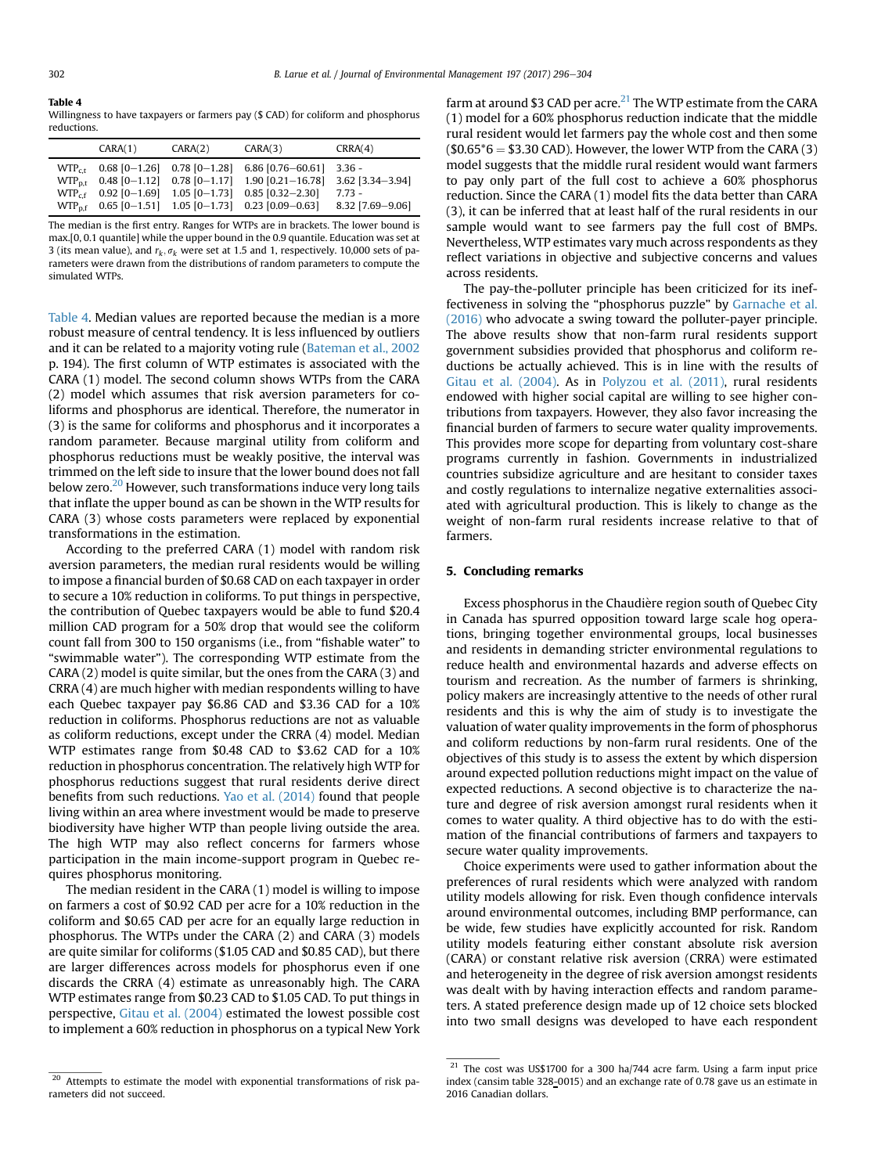#### <span id="page-6-0"></span>Table 4

Willingness to have taxpayers or farmers pay (\$ CAD) for coliform and phosphorus reductions.

|            | CARA(1) | CARA(2) | CARA(3)                                                                      | CRRA(4)          |
|------------|---------|---------|------------------------------------------------------------------------------|------------------|
|            |         |         | WTP <sub>ct</sub> $0.68$ [0-1.26] $0.78$ [0-1.28] $6.86$ [0.76-60.61] 3.36 - |                  |
|            |         |         | WTP <sub>p.t</sub> 0.48 [0-1.12] 0.78 [0-1.17] 1.90 [0.21-16.78]             | 3.62 [3.34-3.94] |
| $WTP_{cf}$ |         |         | $0.92$ [0-1.69] 1.05 [0-1.73] 0.85 [0.32-2.30]                               | $773 -$          |
|            |         |         | WTP <sub>p.f</sub> $0.65$ [0-1.51] 1.05 [0-1.73] 0.23 [0.09-0.63]            | 8.32 [7.69-9.06] |

The median is the first entry. Ranges for WTPs are in brackets. The lower bound is max.[0, 0.1 quantile] while the upper bound in the 0.9 quantile. Education was set at 3 (its mean value), and  $r_k$ ,  $\sigma_k$  were set at 1.5 and 1, respectively. 10,000 sets of parameters were drawn from the distributions of random parameters to compute the simulated WTPs.

Table 4. Median values are reported because the median is a more robust measure of central tendency. It is less influenced by outliers and it can be related to a majority voting rule [\(Bateman et al., 2002](#page-7-0) p. 194). The first column of WTP estimates is associated with the CARA (1) model. The second column shows WTPs from the CARA (2) model which assumes that risk aversion parameters for coliforms and phosphorus are identical. Therefore, the numerator in (3) is the same for coliforms and phosphorus and it incorporates a random parameter. Because marginal utility from coliform and phosphorus reductions must be weakly positive, the interval was trimmed on the left side to insure that the lower bound does not fall below zero. $20$  However, such transformations induce very long tails that inflate the upper bound as can be shown in the WTP results for CARA (3) whose costs parameters were replaced by exponential transformations in the estimation.

According to the preferred CARA (1) model with random risk aversion parameters, the median rural residents would be willing to impose a financial burden of \$0.68 CAD on each taxpayer in order to secure a 10% reduction in coliforms. To put things in perspective, the contribution of Quebec taxpayers would be able to fund \$20.4 million CAD program for a 50% drop that would see the coliform count fall from 300 to 150 organisms (i.e., from "fishable water" to "swimmable water"). The corresponding WTP estimate from the CARA (2) model is quite similar, but the ones from the CARA (3) and CRRA (4) are much higher with median respondents willing to have each Quebec taxpayer pay \$6.86 CAD and \$3.36 CAD for a 10% reduction in coliforms. Phosphorus reductions are not as valuable as coliform reductions, except under the CRRA (4) model. Median WTP estimates range from \$0.48 CAD to \$3.62 CAD for a 10% reduction in phosphorus concentration. The relatively high WTP for phosphorus reductions suggest that rural residents derive direct benefits from such reductions. [Yao et al. \(2014\)](#page-8-0) found that people living within an area where investment would be made to preserve biodiversity have higher WTP than people living outside the area. The high WTP may also reflect concerns for farmers whose participation in the main income-support program in Quebec requires phosphorus monitoring.

The median resident in the CARA (1) model is willing to impose on farmers a cost of \$0.92 CAD per acre for a 10% reduction in the coliform and \$0.65 CAD per acre for an equally large reduction in phosphorus. The WTPs under the CARA (2) and CARA (3) models are quite similar for coliforms (\$1.05 CAD and \$0.85 CAD), but there are larger differences across models for phosphorus even if one discards the CRRA (4) estimate as unreasonably high. The CARA WTP estimates range from \$0.23 CAD to \$1.05 CAD. To put things in perspective, [Gitau et al. \(2004\)](#page-7-0) estimated the lowest possible cost to implement a 60% reduction in phosphorus on a typical New York

farm at around \$3 CAD per acre. $^{21}$  The WTP estimate from the CARA (1) model for a 60% phosphorus reduction indicate that the middle rural resident would let farmers pay the whole cost and then some  $$0.65*6 = $3.30$  CAD). However, the lower WTP from the CARA (3) model suggests that the middle rural resident would want farmers to pay only part of the full cost to achieve a 60% phosphorus reduction. Since the CARA (1) model fits the data better than CARA (3), it can be inferred that at least half of the rural residents in our sample would want to see farmers pay the full cost of BMPs. Nevertheless, WTP estimates vary much across respondents as they reflect variations in objective and subjective concerns and values across residents.

The pay-the-polluter principle has been criticized for its ineffectiveness in solving the "phosphorus puzzle" by [Garnache et al.](#page-7-0) [\(2016\)](#page-7-0) who advocate a swing toward the polluter-payer principle. The above results show that non-farm rural residents support government subsidies provided that phosphorus and coliform reductions be actually achieved. This is in line with the results of [Gitau et al. \(2004\)](#page-7-0). As in [Polyzou et al. \(2011\),](#page-7-0) rural residents endowed with higher social capital are willing to see higher contributions from taxpayers. However, they also favor increasing the financial burden of farmers to secure water quality improvements. This provides more scope for departing from voluntary cost-share programs currently in fashion. Governments in industrialized countries subsidize agriculture and are hesitant to consider taxes and costly regulations to internalize negative externalities associated with agricultural production. This is likely to change as the weight of non-farm rural residents increase relative to that of farmers.

# 5. Concluding remarks

Excess phosphorus in the Chaudiere region south of Quebec City in Canada has spurred opposition toward large scale hog operations, bringing together environmental groups, local businesses and residents in demanding stricter environmental regulations to reduce health and environmental hazards and adverse effects on tourism and recreation. As the number of farmers is shrinking, policy makers are increasingly attentive to the needs of other rural residents and this is why the aim of study is to investigate the valuation of water quality improvements in the form of phosphorus and coliform reductions by non-farm rural residents. One of the objectives of this study is to assess the extent by which dispersion around expected pollution reductions might impact on the value of expected reductions. A second objective is to characterize the nature and degree of risk aversion amongst rural residents when it comes to water quality. A third objective has to do with the estimation of the financial contributions of farmers and taxpayers to secure water quality improvements.

Choice experiments were used to gather information about the preferences of rural residents which were analyzed with random utility models allowing for risk. Even though confidence intervals around environmental outcomes, including BMP performance, can be wide, few studies have explicitly accounted for risk. Random utility models featuring either constant absolute risk aversion (CARA) or constant relative risk aversion (CRRA) were estimated and heterogeneity in the degree of risk aversion amongst residents was dealt with by having interaction effects and random parameters. A stated preference design made up of 12 choice sets blocked into two small designs was developed to have each respondent

<sup>&</sup>lt;sup>20</sup> Attempts to estimate the model with exponential transformations of risk parameters did not succeed.

 $21$  The cost was US\$1700 for a 300 ha/744 acre farm. Using a farm input price index (cansim table 328-0015) and an exchange rate of 0.78 gave us an estimate in 2016 Canadian dollars.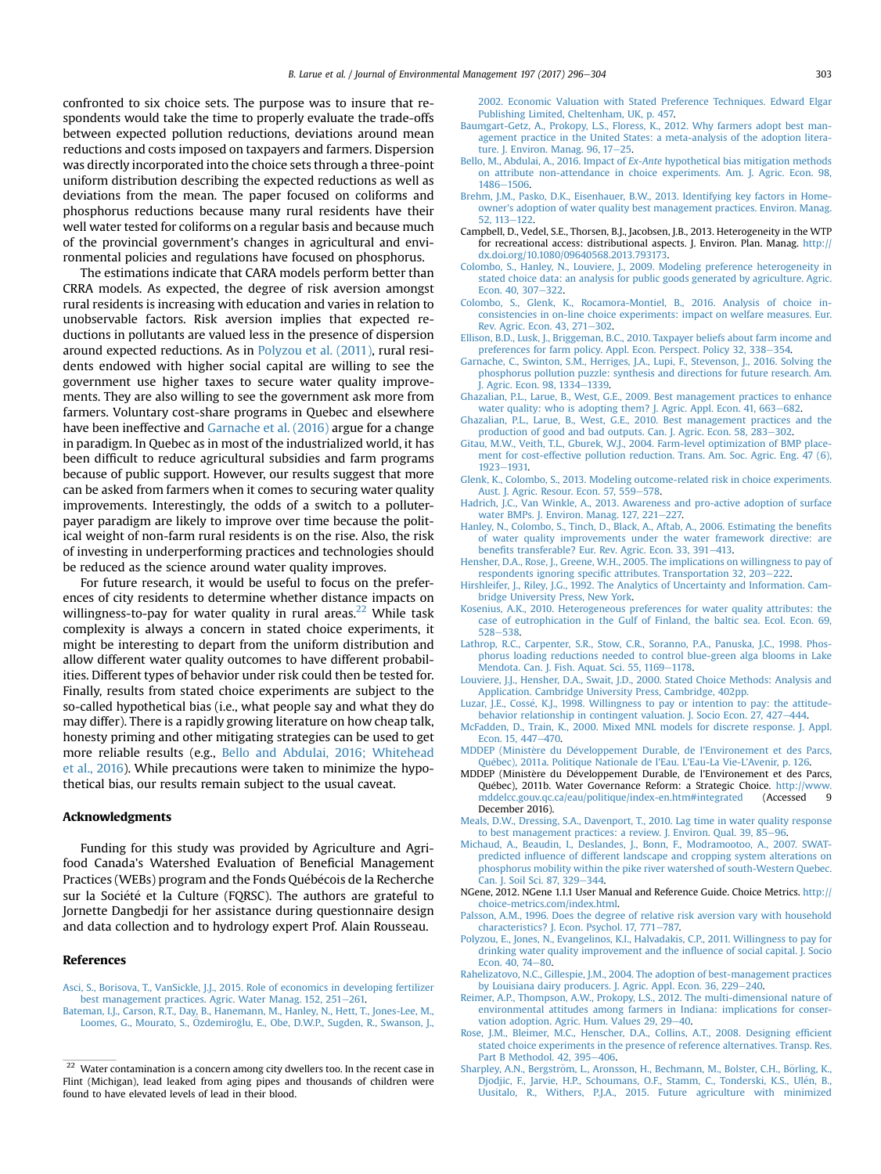<span id="page-7-0"></span>confronted to six choice sets. The purpose was to insure that respondents would take the time to properly evaluate the trade-offs between expected pollution reductions, deviations around mean reductions and costs imposed on taxpayers and farmers. Dispersion was directly incorporated into the choice sets through a three-point uniform distribution describing the expected reductions as well as deviations from the mean. The paper focused on coliforms and phosphorus reductions because many rural residents have their well water tested for coliforms on a regular basis and because much of the provincial government's changes in agricultural and environmental policies and regulations have focused on phosphorus.

The estimations indicate that CARA models perform better than CRRA models. As expected, the degree of risk aversion amongst rural residents is increasing with education and varies in relation to unobservable factors. Risk aversion implies that expected reductions in pollutants are valued less in the presence of dispersion around expected reductions. As in Polyzou et al. (2011), rural residents endowed with higher social capital are willing to see the government use higher taxes to secure water quality improvements. They are also willing to see the government ask more from farmers. Voluntary cost-share programs in Quebec and elsewhere have been ineffective and Garnache et al. (2016) argue for a change in paradigm. In Quebec as in most of the industrialized world, it has been difficult to reduce agricultural subsidies and farm programs because of public support. However, our results suggest that more can be asked from farmers when it comes to securing water quality improvements. Interestingly, the odds of a switch to a polluterpayer paradigm are likely to improve over time because the political weight of non-farm rural residents is on the rise. Also, the risk of investing in underperforming practices and technologies should be reduced as the science around water quality improves.

For future research, it would be useful to focus on the preferences of city residents to determine whether distance impacts on willingness-to-pay for water quality in rural areas.<sup>22</sup> While task complexity is always a concern in stated choice experiments, it might be interesting to depart from the uniform distribution and allow different water quality outcomes to have different probabilities. Different types of behavior under risk could then be tested for. Finally, results from stated choice experiments are subject to the so-called hypothetical bias (i.e., what people say and what they do may differ). There is a rapidly growing literature on how cheap talk, honesty priming and other mitigating strategies can be used to get more reliable results (e.g., Bello and Abdulai, 2016; Whitehead et al., 2016). While precautions were taken to minimize the hypothetical bias, our results remain subject to the usual caveat.

## Acknowledgments

Funding for this study was provided by Agriculture and Agrifood Canada's Watershed Evaluation of Beneficial Management Practices (WEBs) program and the Fonds Québécois de la Recherche sur la Société et la Culture (FQRSC). The authors are grateful to Jornette Dangbedji for her assistance during questionnaire design and data collection and to hydrology expert Prof. Alain Rousseau.

#### References

- [Asci, S., Borisova, T., VanSickle, J.J., 2015. Role of economics in developing fertilizer](http://refhub.elsevier.com/S0301-4797(17)30265-7/sref1) [best management practices. Agric. Water Manag. 152, 251](http://refhub.elsevier.com/S0301-4797(17)30265-7/sref1)-[261.](http://refhub.elsevier.com/S0301-4797(17)30265-7/sref1) [Bateman, I.J., Carson, R.T., Day, B., Hanemann, M., Hanley, N., Hett, T., Jones-Lee, M.,](http://refhub.elsevier.com/S0301-4797(17)30265-7/sref2)
- [Loomes, G., Mourato, S.,](http://refhub.elsevier.com/S0301-4797(17)30265-7/sref2) Özdemiroğ[lu, E., Obe, D.W.P., Sugden, R., Swanson, J.,](http://refhub.elsevier.com/S0301-4797(17)30265-7/sref2)

[2002. Economic Valuation with Stated Preference Techniques. Edward Elgar](http://refhub.elsevier.com/S0301-4797(17)30265-7/sref2) [Publishing Limited, Cheltenham, UK, p. 457.](http://refhub.elsevier.com/S0301-4797(17)30265-7/sref2)

- [Baumgart-Getz, A., Prokopy, L.S., Floress, K., 2012. Why farmers adopt best man](http://refhub.elsevier.com/S0301-4797(17)30265-7/sref3)[agement practice in the United States: a meta-analysis of the adoption litera](http://refhub.elsevier.com/S0301-4797(17)30265-7/sref3)ture. J. Environ. Manag.  $96, 17-25$  $96, 17-25$ .
- Bello, M., Abdulai, A., 2016. Impact of Ex-Ante [hypothetical bias mitigation methods](http://refhub.elsevier.com/S0301-4797(17)30265-7/sref4) [on attribute non-attendance in choice experiments. Am. J. Agric. Econ. 98,](http://refhub.elsevier.com/S0301-4797(17)30265-7/sref4) [1486](http://refhub.elsevier.com/S0301-4797(17)30265-7/sref4)-[1506.](http://refhub.elsevier.com/S0301-4797(17)30265-7/sref4)
- [Brehm, J.M., Pasko, D.K., Eisenhauer, B.W., 2013. Identifying key factors in Home](http://refhub.elsevier.com/S0301-4797(17)30265-7/sref5)[owner's adoption of water quality best management practices. Environ. Manag.](http://refhub.elsevier.com/S0301-4797(17)30265-7/sref5) [52, 113](http://refhub.elsevier.com/S0301-4797(17)30265-7/sref5)-[122](http://refhub.elsevier.com/S0301-4797(17)30265-7/sref5).
- Campbell, D., Vedel, S.E., Thorsen, B.J., Jacobsen, J.B., 2013. Heterogeneity in the WTP for recreational access: distributional aspects. J. Environ. Plan. Manag. [http://](http://dx.doi.org/10.1080/09640568.2013.793173) [dx.doi.org/10.1080/09640568.2013.793173](http://dx.doi.org/10.1080/09640568.2013.793173).
- [Colombo, S., Hanley, N., Louviere, J., 2009. Modeling preference heterogeneity in](http://refhub.elsevier.com/S0301-4797(17)30265-7/sref7) [stated choice data: an analysis for public goods generated by agriculture. Agric.](http://refhub.elsevier.com/S0301-4797(17)30265-7/sref7) Econ.  $40, 307 - 322$ .
- [Colombo, S., Glenk, K., Rocamora-Montiel, B., 2016. Analysis of choice in](http://refhub.elsevier.com/S0301-4797(17)30265-7/sref8)[consistencies in on-line choice experiments: impact on welfare measures. Eur.](http://refhub.elsevier.com/S0301-4797(17)30265-7/sref8) [Rev. Agric. Econ. 43, 271](http://refhub.elsevier.com/S0301-4797(17)30265-7/sref8)-[302.](http://refhub.elsevier.com/S0301-4797(17)30265-7/sref8)
- [Ellison, B.D., Lusk, J., Briggeman, B.C., 2010. Taxpayer beliefs about farm income and](http://refhub.elsevier.com/S0301-4797(17)30265-7/sref9) [preferences for farm policy. Appl. Econ. Perspect. Policy 32, 338](http://refhub.elsevier.com/S0301-4797(17)30265-7/sref9)-[354.](http://refhub.elsevier.com/S0301-4797(17)30265-7/sref9)
- [Garnache, C., Swinton, S.M., Herriges, J.A., Lupi, F., Stevenson, J., 2016. Solving the](http://refhub.elsevier.com/S0301-4797(17)30265-7/sref10) [phosphorus pollution puzzle: synthesis and directions for future research. Am.](http://refhub.elsevier.com/S0301-4797(17)30265-7/sref10) [J. Agric. Econ. 98, 1334](http://refhub.elsevier.com/S0301-4797(17)30265-7/sref10)-[1339.](http://refhub.elsevier.com/S0301-4797(17)30265-7/sref10)
- [Ghazalian, P.L., Larue, B., West, G.E., 2009. Best management practices to enhance](http://refhub.elsevier.com/S0301-4797(17)30265-7/sref11) [water quality: who is adopting them? J. Agric. Appl. Econ. 41, 663](http://refhub.elsevier.com/S0301-4797(17)30265-7/sref11)-[682](http://refhub.elsevier.com/S0301-4797(17)30265-7/sref11).
- [Ghazalian, P.L., Larue, B., West, G.E., 2010. Best management practices and the](http://refhub.elsevier.com/S0301-4797(17)30265-7/sref12) [production of good and bad outputs. Can. J. Agric. Econ. 58, 283](http://refhub.elsevier.com/S0301-4797(17)30265-7/sref12)-[302.](http://refhub.elsevier.com/S0301-4797(17)30265-7/sref12)
- [Gitau, M.W., Veith, T.L., Gburek, W.J., 2004. Farm-level optimization of BMP place](http://refhub.elsevier.com/S0301-4797(17)30265-7/sref13)[ment for cost-effective pollution reduction. Trans. Am. Soc. Agric. Eng. 47 \(6\),](http://refhub.elsevier.com/S0301-4797(17)30265-7/sref13) [1923](http://refhub.elsevier.com/S0301-4797(17)30265-7/sref13)-1931
- [Glenk, K., Colombo, S., 2013. Modeling outcome-related risk in choice experiments.](http://refhub.elsevier.com/S0301-4797(17)30265-7/sref14) [Aust. J. Agric. Resour. Econ. 57, 559](http://refhub.elsevier.com/S0301-4797(17)30265-7/sref14)-[578](http://refhub.elsevier.com/S0301-4797(17)30265-7/sref14).
- [Hadrich, J.C., Van Winkle, A., 2013. Awareness and pro-active adoption of surface](http://refhub.elsevier.com/S0301-4797(17)30265-7/sref15) [water BMPs. J. Environ. Manag. 127, 221](http://refhub.elsevier.com/S0301-4797(17)30265-7/sref15)-[227.](http://refhub.elsevier.com/S0301-4797(17)30265-7/sref15)
- [Hanley, N., Colombo, S., Tinch, D., Black, A., Aftab, A., 2006. Estimating the bene](http://refhub.elsevier.com/S0301-4797(17)30265-7/sref16)fits [of water quality improvements under the water framework directive: are](http://refhub.elsevier.com/S0301-4797(17)30265-7/sref16) benefi[ts transferable? Eur. Rev. Agric. Econ. 33, 391](http://refhub.elsevier.com/S0301-4797(17)30265-7/sref16)-[413](http://refhub.elsevier.com/S0301-4797(17)30265-7/sref16).
- [Hensher, D.A., Rose, J., Greene, W.H., 2005. The implications on willingness to pay of](http://refhub.elsevier.com/S0301-4797(17)30265-7/sref17) respondents ignoring specifi[c attributes. Transportation 32, 203](http://refhub.elsevier.com/S0301-4797(17)30265-7/sref17)-[222](http://refhub.elsevier.com/S0301-4797(17)30265-7/sref17).
- [Hirshleifer, J., Riley, J.G., 1992. The Analytics of Uncertainty and Information. Cam](http://refhub.elsevier.com/S0301-4797(17)30265-7/sref18)[bridge University Press, New York](http://refhub.elsevier.com/S0301-4797(17)30265-7/sref18).
- [Kosenius, A.K., 2010. Heterogeneous preferences for water quality attributes: the](http://refhub.elsevier.com/S0301-4797(17)30265-7/sref19) [case of eutrophication in the Gulf of Finland, the baltic sea. Ecol. Econ. 69,](http://refhub.elsevier.com/S0301-4797(17)30265-7/sref19) [528](http://refhub.elsevier.com/S0301-4797(17)30265-7/sref19)-[538](http://refhub.elsevier.com/S0301-4797(17)30265-7/sref19).
- [Lathrop, R.C., Carpenter, S.R., Stow, C.R., Soranno, P.A., Panuska, J.C., 1998. Phos](http://refhub.elsevier.com/S0301-4797(17)30265-7/sref20)[phorus loading reductions needed to control blue-green alga blooms in Lake](http://refhub.elsevier.com/S0301-4797(17)30265-7/sref20) [Mendota. Can. J. Fish. Aquat. Sci. 55, 1169](http://refhub.elsevier.com/S0301-4797(17)30265-7/sref20)-[1178](http://refhub.elsevier.com/S0301-4797(17)30265-7/sref20).
- [Louviere, J.J., Hensher, D.A., Swait, J.D., 2000. Stated Choice Methods: Analysis and](http://refhub.elsevier.com/S0301-4797(17)30265-7/sref21) [Application. Cambridge University Press, Cambridge, 402pp.](http://refhub.elsevier.com/S0301-4797(17)30265-7/sref21)
- [Luzar, J.E., Coss](http://refhub.elsevier.com/S0301-4797(17)30265-7/sref22)é[, K.J., 1998. Willingness to pay or intention to pay: the attitude](http://refhub.elsevier.com/S0301-4797(17)30265-7/sref22) [behavior relationship in contingent valuation. J. Socio Econ. 27, 427](http://refhub.elsevier.com/S0301-4797(17)30265-7/sref22)-[444.](http://refhub.elsevier.com/S0301-4797(17)30265-7/sref22)
- [McFadden, D., Train, K., 2000. Mixed MNL models for discrete response. J. Appl.](http://refhub.elsevier.com/S0301-4797(17)30265-7/sref23) [Econ. 15, 447](http://refhub.elsevier.com/S0301-4797(17)30265-7/sref23)-[470.](http://refhub.elsevier.com/S0301-4797(17)30265-7/sref23)
- [MDDEP \(Minist](http://refhub.elsevier.com/S0301-4797(17)30265-7/sref24)è[re du D](http://refhub.elsevier.com/S0301-4797(17)30265-7/sref24)éveloppement Durable, de l'[Environement et des Parcs,](http://refhub.elsevier.com/S0301-4797(17)30265-7/sref24) [Qu](http://refhub.elsevier.com/S0301-4797(17)30265-7/sref24)é[bec\), 2011a. Politique Nationale de l](http://refhub.elsevier.com/S0301-4797(17)30265-7/sref24)'Eau. L'Eau-La Vie-L'Avenir, p. 126.
- MDDEP (Ministère du Développement Durable, de l'Environement et des Parcs, Québec), 2011b. Water Governance Reform: a Strategic Choice. [http://www.](http://www.mddelcc.gouv.qc.ca/eau/politique/index-en.htm#integrated)<br>mddelcc.gouv.gc.ca/eau/politique/index-en.htm#integrated (Accessed 9 [mddelcc.gouv.qc.ca/eau/politique/index-en.htm#integrated](http://www.mddelcc.gouv.qc.ca/eau/politique/index-en.htm#integrated) (Accessed 9 December 2016).
- [Meals, D.W., Dressing, S.A., Davenport, T., 2010. Lag time in water quality response](http://refhub.elsevier.com/S0301-4797(17)30265-7/sref26) [to best management practices: a review. J. Environ. Qual. 39, 85](http://refhub.elsevier.com/S0301-4797(17)30265-7/sref26)-[96.](http://refhub.elsevier.com/S0301-4797(17)30265-7/sref26)
- [Michaud, A., Beaudin, I., Deslandes, J., Bonn, F., Modramootoo, A., 2007. SWAT](http://refhub.elsevier.com/S0301-4797(17)30265-7/sref27)predicted infl[uence of different landscape and cropping system alterations on](http://refhub.elsevier.com/S0301-4797(17)30265-7/sref27) [phosphorus mobility within the pike river watershed of south-Western Quebec.](http://refhub.elsevier.com/S0301-4797(17)30265-7/sref27) [Can. J. Soil Sci. 87, 329](http://refhub.elsevier.com/S0301-4797(17)30265-7/sref27)-[344](http://refhub.elsevier.com/S0301-4797(17)30265-7/sref27).
- NGene, 2012. NGene 1.1.1 User Manual and Reference Guide. Choice Metrics. [http://](http://choice-metrics.com/index.html) [choice-metrics.com/index.html.](http://choice-metrics.com/index.html)
- [Palsson, A.M., 1996. Does the degree of relative risk aversion vary with household](http://refhub.elsevier.com/S0301-4797(17)30265-7/sref29) [characteristics? J. Econ. Psychol. 17, 771](http://refhub.elsevier.com/S0301-4797(17)30265-7/sref29)-[787.](http://refhub.elsevier.com/S0301-4797(17)30265-7/sref29)
- [Polyzou, E., Jones, N., Evangelinos, K.I., Halvadakis, C.P., 2011. Willingness to pay for](http://refhub.elsevier.com/S0301-4797(17)30265-7/sref30) [drinking water quality improvement and the in](http://refhub.elsevier.com/S0301-4797(17)30265-7/sref30)fluence of social capital. J. Socio [Econ. 40, 74](http://refhub.elsevier.com/S0301-4797(17)30265-7/sref30)-[80.](http://refhub.elsevier.com/S0301-4797(17)30265-7/sref30)
- [Rahelizatovo, N.C., Gillespie, J.M., 2004. The adoption of best-management practices](http://refhub.elsevier.com/S0301-4797(17)30265-7/sref31) [by Louisiana dairy producers. J. Agric. Appl. Econ. 36, 229](http://refhub.elsevier.com/S0301-4797(17)30265-7/sref31)-[240.](http://refhub.elsevier.com/S0301-4797(17)30265-7/sref31)
- [Reimer, A.P., Thompson, A.W., Prokopy, L.S., 2012. The multi-dimensional nature of](http://refhub.elsevier.com/S0301-4797(17)30265-7/sref32) [environmental attitudes among farmers in Indiana: implications for conser](http://refhub.elsevier.com/S0301-4797(17)30265-7/sref32)[vation adoption. Agric. Hum. Values 29, 29](http://refhub.elsevier.com/S0301-4797(17)30265-7/sref32)-[40.](http://refhub.elsevier.com/S0301-4797(17)30265-7/sref32)
- [Rose, J.M., Bleimer, M.C., Henscher, D.A., Collins, A.T., 2008. Designing ef](http://refhub.elsevier.com/S0301-4797(17)30265-7/sref33)ficient [stated choice experiments in the presence of reference alternatives. Transp. Res.](http://refhub.elsevier.com/S0301-4797(17)30265-7/sref33) [Part B Methodol. 42, 395](http://refhub.elsevier.com/S0301-4797(17)30265-7/sref33)-[406](http://refhub.elsevier.com/S0301-4797(17)30265-7/sref33).
- Sharpley, A.N., Bergström, L., Aronsson, H., Bechmann, M., Bolster, C.H., Bö[rling, K.,](http://refhub.elsevier.com/S0301-4797(17)30265-7/sref34) [Djodjic, F., Jarvie, H.P., Schoumans, O.F., Stamm, C., Tonderski, K.S., Ul](http://refhub.elsevier.com/S0301-4797(17)30265-7/sref34)e[n, B.,](http://refhub.elsevier.com/S0301-4797(17)30265-7/sref34) [Uusitalo, R., Withers, P.J.A., 2015. Future agriculture with minimized](http://refhub.elsevier.com/S0301-4797(17)30265-7/sref34)

 $\overline{a^2}$  Water contamination is a concern among city dwellers too. In the recent case in Flint (Michigan), lead leaked from aging pipes and thousands of children were found to have elevated levels of lead in their blood.